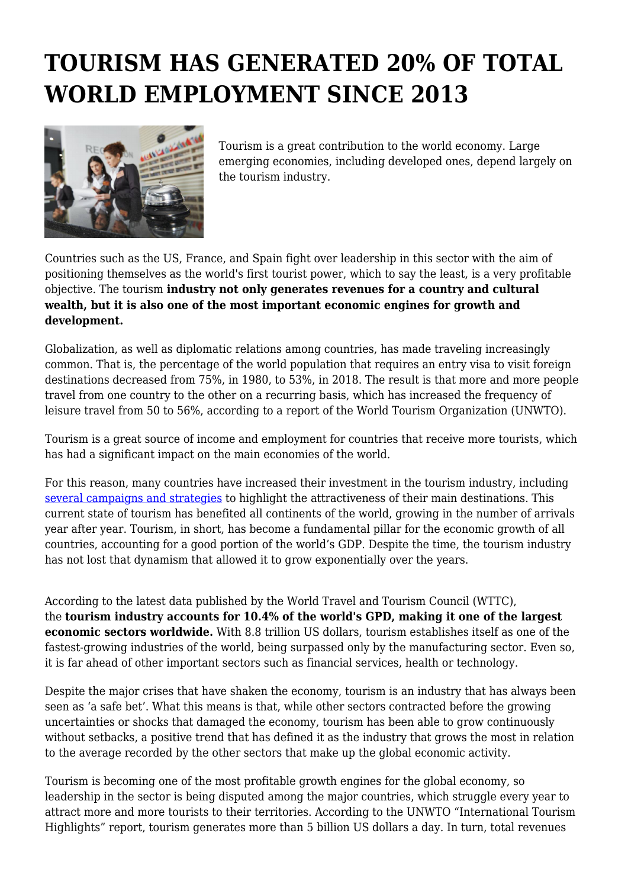## **TOURISM HAS GENERATED 20% OF TOTAL WORLD EMPLOYMENT SINCE 2013**



Tourism is a great contribution to the world economy. Large emerging economies, including developed ones, depend largely on the tourism industry.

Countries such as the US, France, and Spain fight over leadership in this sector with the aim of positioning themselves as the world's first tourist power, which to say the least, is a very profitable objective. The tourism **industry not only generates revenues for a country and cultural wealth, but it is also one of the most important economic engines for growth and development.**

Globalization, as well as diplomatic relations among countries, has made traveling increasingly common. That is, the percentage of the world population that requires an entry visa to visit foreign destinations decreased from 75%, in 1980, to 53%, in 2018. The result is that more and more people travel from one country to the other on a recurring basis, which has increased the frequency of leisure travel from 50 to 56%, according to a report of the World Tourism Organization (UNWTO).

Tourism is a great source of income and employment for countries that receive more tourists, which has had a significant impact on the main economies of the world.

For this reason, many countries have increased their investment in the tourism industry, including [several campaigns and strategies](https://invideo.io/blog/travel-marketing/) to highlight the attractiveness of their main destinations. This current state of tourism has benefited all continents of the world, growing in the number of arrivals year after year. Tourism, in short, has become a fundamental pillar for the economic growth of all countries, accounting for a good portion of the world's GDP. Despite the time, the tourism industry has not lost that dynamism that allowed it to grow exponentially over the years.

According to the latest data published by the World Travel and Tourism Council (WTTC), the **tourism industry accounts for 10.4% of the world's GPD, making it one of the largest economic sectors worldwide.** With 8.8 trillion US dollars, tourism establishes itself as one of the fastest-growing industries of the world, being surpassed only by the manufacturing sector. Even so, it is far ahead of other important sectors such as financial services, health or technology.

Despite the major crises that have shaken the economy, tourism is an industry that has always been seen as 'a safe bet'. What this means is that, while other sectors contracted before the growing uncertainties or shocks that damaged the economy, tourism has been able to grow continuously without setbacks, a positive trend that has defined it as the industry that grows the most in relation to the average recorded by the other sectors that make up the global economic activity.

Tourism is becoming one of the most profitable growth engines for the global economy, so leadership in the sector is being disputed among the major countries, which struggle every year to attract more and more tourists to their territories. According to the UNWTO "International Tourism Highlights" report, tourism generates more than 5 billion US dollars a day. In turn, total revenues